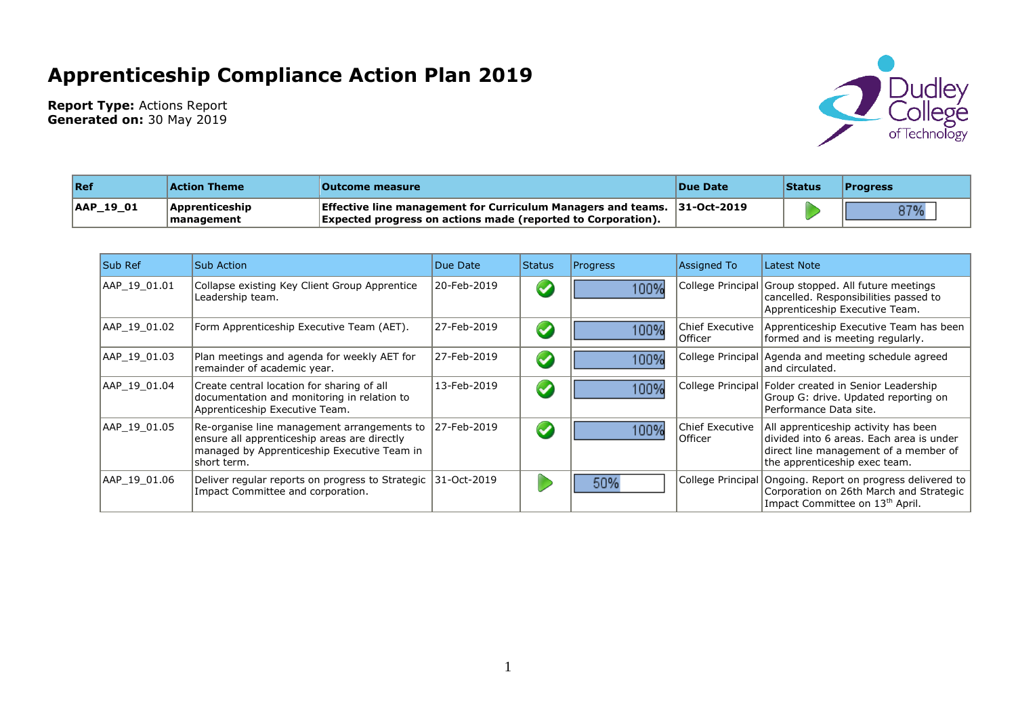## **Apprenticeship Compliance Action Plan 2019**



**Report Type:** Actions Report **Generated on:** 30 May 2019

| $\ $ Ref  | Action Theme                                | <b>Outcome measure</b>                                                                                                                                 | <b>Due Date</b> | Status | <b>Progress</b> |
|-----------|---------------------------------------------|--------------------------------------------------------------------------------------------------------------------------------------------------------|-----------------|--------|-----------------|
| AAP_19_01 | <b>Apprenticeship</b><br><b>Imanagement</b> | <b>Effective line management for Curriculum Managers and teams. 31-Oct-2019</b><br><b>Expected progress on actions made (reported to Corporation).</b> |                 |        | 87%             |

| <b>Sub Ref</b> | <b>Sub Action</b>                                                                                                                                         | Due Date    | Status               | <b>Progress</b> | Assigned To                | Latest Note                                                                                                                                                |
|----------------|-----------------------------------------------------------------------------------------------------------------------------------------------------------|-------------|----------------------|-----------------|----------------------------|------------------------------------------------------------------------------------------------------------------------------------------------------------|
| AAP 19 01.01   | Collapse existing Key Client Group Apprentice<br>Leadership team.                                                                                         | 20-Feb-2019 | $\blacktriangledown$ | 100%            |                            | College Principal Group stopped. All future meetings<br>cancelled. Responsibilities passed to<br>Apprenticeship Executive Team.                            |
| AAP 19 01.02   | Form Apprenticeship Executive Team (AET).                                                                                                                 | 27-Feb-2019 | $\blacktriangledown$ | 100%            | Chief Executive<br>Officer | Apprenticeship Executive Team has been<br>formed and is meeting regularly.                                                                                 |
| AAP 19 01.03   | Plan meetings and agenda for weekly AET for<br>remainder of academic year.                                                                                | 27-Feb-2019 | $\blacktriangledown$ | 100%            |                            | College Principal Agenda and meeting schedule agreed<br>land circulated.                                                                                   |
| AAP 19 01.04   | Create central location for sharing of all<br>documentation and monitoring in relation to<br>Apprenticeship Executive Team.                               | 13-Feb-2019 | $\blacktriangledown$ | 100%            |                            | College Principal Folder created in Senior Leadership<br>Group G: drive. Updated reporting on<br>Performance Data site.                                    |
| AAP 19 01.05   | Re-organise line management arrangements to<br>ensure all apprenticeship areas are directly<br>managed by Apprenticeship Executive Team in<br>short term. | 27-Feb-2019 | $\blacktriangledown$ | 100%            | Chief Executive<br>Officer | All apprenticeship activity has been<br>divided into 6 areas. Each area is under<br>direct line management of a member of<br>the apprenticeship exec team. |
| AAP 19 01.06   | Deliver regular reports on progress to Strategic 31-Oct-2019<br>Impact Committee and corporation.                                                         |             |                      | 50%             |                            | College Principal Ongoing. Report on progress delivered to<br>Corporation on 26th March and Strategic<br>Impact Committee on 13 <sup>th</sup> April.       |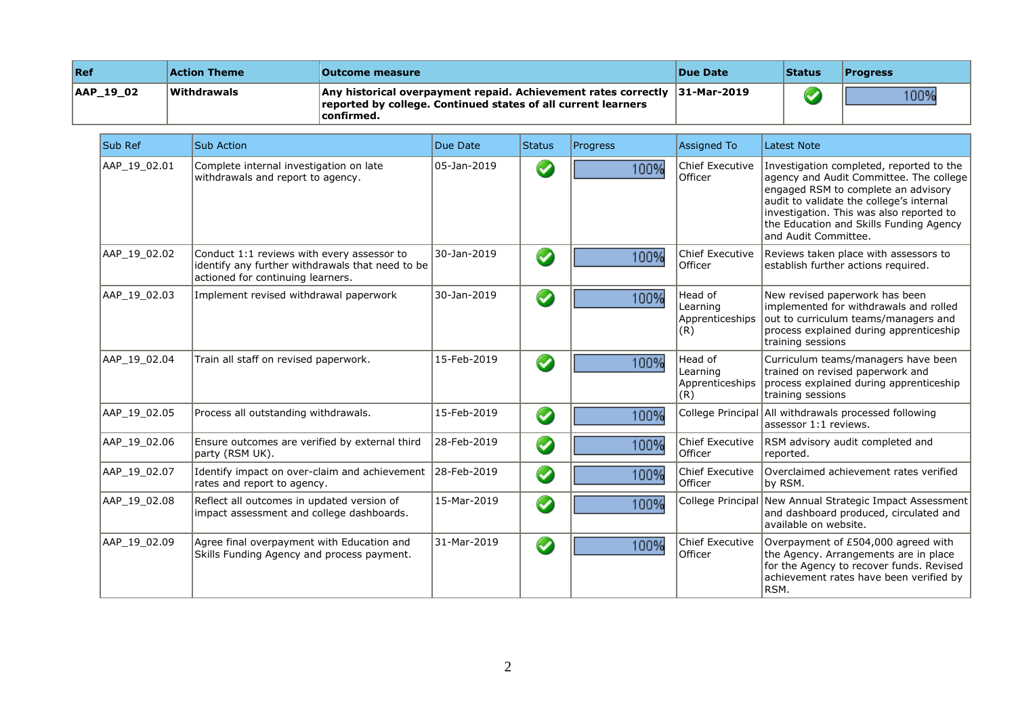| Ref       | <b>Action Theme</b> | <b>Outcome measure</b>                                                                                                                                        | <b>Due Date</b> | <b>Status</b> | <b>Progress</b> |
|-----------|---------------------|---------------------------------------------------------------------------------------------------------------------------------------------------------------|-----------------|---------------|-----------------|
| AAP 19 02 | <b>Withdrawals</b>  | Any historical overpayment repaid. Achievement rates correctly $ 31$ -Mar-2019<br>reported by college. Continued states of all current learners<br>confirmed. |                 |               | 100%            |

| Sub Ref      | <b>Sub Action</b>                                                                                                                   | Due Date    | Status               | Progress | <b>Assigned To</b>                            | Latest Note                                                                                                                                                                                                                                                                           |
|--------------|-------------------------------------------------------------------------------------------------------------------------------------|-------------|----------------------|----------|-----------------------------------------------|---------------------------------------------------------------------------------------------------------------------------------------------------------------------------------------------------------------------------------------------------------------------------------------|
| AAP_19_02.01 | Complete internal investigation on late<br>withdrawals and report to agency.                                                        | 05-Jan-2019 | $\blacktriangledown$ | 100%     | <b>Chief Executive</b><br>Officer             | Investigation completed, reported to the<br>agency and Audit Committee. The college<br>engaged RSM to complete an advisory<br>audit to validate the college's internal<br>investigation. This was also reported to<br>the Education and Skills Funding Agency<br>and Audit Committee. |
| AAP_19_02.02 | Conduct 1:1 reviews with every assessor to<br>identify any further withdrawals that need to be<br>actioned for continuing learners. | 30-Jan-2019 | $\bullet$            | 100%     | Chief Executive<br>Officer                    | Reviews taken place with assessors to<br>establish further actions required.                                                                                                                                                                                                          |
| AAP 19 02.03 | Implement revised withdrawal paperwork                                                                                              | 30-Jan-2019 | $\bigcirc$           | 100%     | Head of<br>Learning<br>Apprenticeships<br>(R) | New revised paperwork has been<br>implemented for withdrawals and rolled<br>out to curriculum teams/managers and<br>process explained during apprenticeship<br>training sessions                                                                                                      |
| AAP 19 02.04 | Train all staff on revised paperwork.                                                                                               | 15-Feb-2019 | $\bullet$            | 100%     | Head of<br>Learning<br>Apprenticeships<br>(R) | Curriculum teams/managers have been<br>trained on revised paperwork and<br>process explained during apprenticeship<br>training sessions                                                                                                                                               |
| AAP 19 02.05 | Process all outstanding withdrawals.                                                                                                | 15-Feb-2019 | $\bigcirc$           | 100%     |                                               | College Principal All withdrawals processed following<br>assessor 1:1 reviews.                                                                                                                                                                                                        |
| AAP_19_02.06 | Ensure outcomes are verified by external third<br>party (RSM UK).                                                                   | 28-Feb-2019 | $\bullet$            | 100%     | Chief Executive<br>Officer                    | RSM advisory audit completed and<br>reported.                                                                                                                                                                                                                                         |
| AAP_19_02.07 | Identify impact on over-claim and achievement<br>rates and report to agency.                                                        | 28-Feb-2019 | $\bullet$            | 100%     | <b>Chief Executive</b><br>Officer             | Overclaimed achievement rates verified<br>by RSM.                                                                                                                                                                                                                                     |
| AAP 19 02.08 | Reflect all outcomes in updated version of<br>impact assessment and college dashboards.                                             | 15-Mar-2019 | $\bigcirc$           | 100%     |                                               | College Principal New Annual Strategic Impact Assessment<br>and dashboard produced, circulated and<br>available on website.                                                                                                                                                           |
| AAP_19_02.09 | Agree final overpayment with Education and<br>Skills Funding Agency and process payment.                                            | 31-Mar-2019 | $\bigcirc$           | 100%     | <b>Chief Executive</b><br>Officer             | Overpayment of £504,000 agreed with<br>the Agency. Arrangements are in place<br>for the Agency to recover funds. Revised<br>achievement rates have been verified by<br>RSM.                                                                                                           |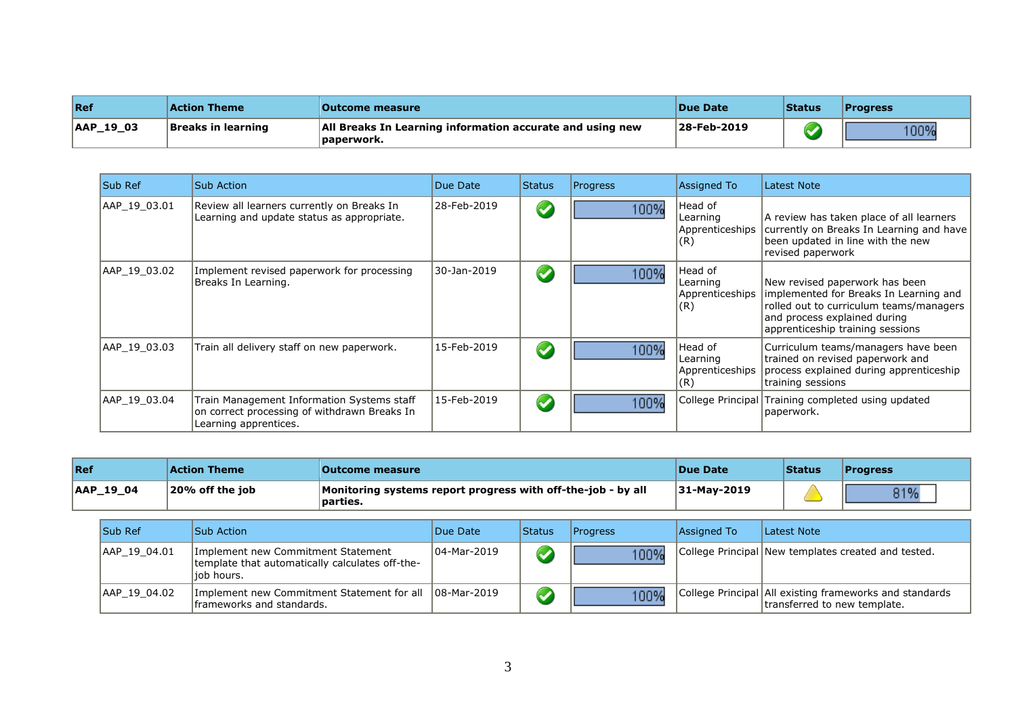| <b>Ref</b>    | Action Theme       | <b>Outcome measure</b>                                                          | <b>IDue Date</b> | Status | <b>Progress</b> |
|---------------|--------------------|---------------------------------------------------------------------------------|------------------|--------|-----------------|
| $ AAP_19_03 $ | Breaks in learning | <b>All Breaks In Learning information accurate and using new</b><br> paperwork. | 28-Feb-2019      |        | 100%            |

| <b>Sub Ref</b> | Sub Action                                                                                                          | Due Date    | <b>Status</b>        | <b>Progress</b> | Assigned To                                    | Latest Note                                                                                                                                                                             |
|----------------|---------------------------------------------------------------------------------------------------------------------|-------------|----------------------|-----------------|------------------------------------------------|-----------------------------------------------------------------------------------------------------------------------------------------------------------------------------------------|
| AAP 19 03.01   | Review all learners currently on Breaks In<br>Learning and update status as appropriate.                            | 28-Feb-2019 | $\blacktriangledown$ | 100%            | Head of<br>Learning<br>Apprenticeships<br>(R)  | A review has taken place of all learners<br>currently on Breaks In Learning and have<br>been updated in line with the new<br>revised paperwork                                          |
| AAP 19 03.02   | Implement revised paperwork for processing<br>Breaks In Learning.                                                   | 30-Jan-2019 | $\blacktriangledown$ | 100%            | Head of<br>Learning<br>Apprenticeships<br> (R) | New revised paperwork has been<br>implemented for Breaks In Learning and<br>rolled out to curriculum teams/managers<br>and process explained during<br>apprenticeship training sessions |
| AAP 19 03.03   | Train all delivery staff on new paperwork.                                                                          | 15-Feb-2019 | $\blacktriangledown$ | 100%            | Head of<br>Learning<br>Apprenticeships<br>(R)  | Curriculum teams/managers have been<br>trained on revised paperwork and<br>process explained during apprenticeship<br>training sessions                                                 |
| AAP 19 03.04   | Train Management Information Systems staff<br>on correct processing of withdrawn Breaks In<br>Learning apprentices. | 15-Feb-2019 | $\blacktriangledown$ | 100%            |                                                | College Principal Training completed using updated<br>paperwork.                                                                                                                        |

| Ref              | Action Theme    | Outcome measure                                                          | <b>Due Date</b> | <b>Status</b> | <b>IProgress</b> |
|------------------|-----------------|--------------------------------------------------------------------------|-----------------|---------------|------------------|
| <b>AAP 19 04</b> | 20% off the job | Monitoring systems report progress with off-the-job - by all<br>parties. | $ 31$ -May-2019 |               | 31%              |

| <b>Sub Ref</b> |              | <b>Sub Action</b>                                                                                    | Due Date    | <b>Status</b> | <b>IProgress</b> | Assigned To | Latest Note                                                                             |
|----------------|--------------|------------------------------------------------------------------------------------------------------|-------------|---------------|------------------|-------------|-----------------------------------------------------------------------------------------|
|                | AAP 19 04.01 | Implement new Commitment Statement<br>template that automatically calculates off-the-<br>liob hours. | 04-Mar-2019 |               | 100%             |             | College Principal New templates created and tested.                                     |
|                | AAP 19 04.02 | Implement new Commitment Statement for all   08-Mar-2019<br>frameworks and standards.                |             |               | 100%             |             | College Principal All existing frameworks and standards<br>transferred to new template. |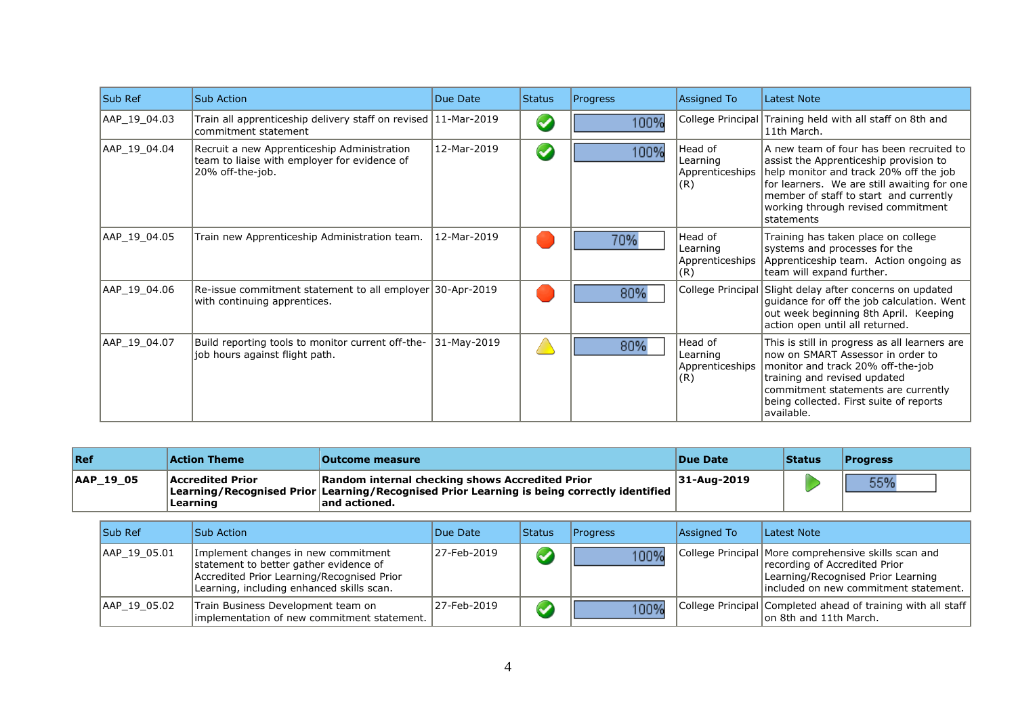| <b>Sub Ref</b> | <b>Sub Action</b>                                                                                               | Due Date    | <b>Status</b>        | Progress | <b>Assigned To</b>                            | Latest Note                                                                                                                                                                                                                                                                       |
|----------------|-----------------------------------------------------------------------------------------------------------------|-------------|----------------------|----------|-----------------------------------------------|-----------------------------------------------------------------------------------------------------------------------------------------------------------------------------------------------------------------------------------------------------------------------------------|
| AAP_19_04.03   | Train all apprenticeship delivery staff on revised 11-Mar-2019<br>commitment statement                          |             | $\blacktriangledown$ | 100%     |                                               | College Principal Training held with all staff on 8th and<br>11th March.                                                                                                                                                                                                          |
| AAP 19 04.04   | Recruit a new Apprenticeship Administration<br>team to liaise with employer for evidence of<br>20% off-the-job. | 12-Mar-2019 | $\blacklozenge$      | 100%     | Head of<br>Learning<br>Apprenticeships<br>(R) | A new team of four has been recruited to<br>assist the Apprenticeship provision to<br>help monitor and track 20% off the job<br>for learners. We are still awaiting for one<br>member of staff to start and currently<br>working through revised commitment<br><b>Istatements</b> |
| AAP 19 04.05   | Train new Apprenticeship Administration team.                                                                   | 12-Mar-2019 |                      | 70%      | Head of<br>Learning<br>Apprenticeships<br>(R) | Training has taken place on college<br>systems and processes for the<br>Apprenticeship team. Action ongoing as<br>team will expand further.                                                                                                                                       |
| AAP 19 04.06   | Re-issue commitment statement to all employer 30-Apr-2019<br>with continuing apprentices.                       |             |                      | 80%      |                                               | College Principal Slight delay after concerns on updated<br>guidance for off the job calculation. Went<br>out week beginning 8th April. Keeping<br>action open until all returned.                                                                                                |
| AAP_19_04.07   | Build reporting tools to monitor current off-the-<br>job hours against flight path.                             | 31-May-2019 |                      | 80%      | Head of<br>Learning<br>Apprenticeships<br>(R) | This is still in progress as all learners are<br>Inow on SMART Assessor in order to<br>monitor and track 20% off-the-job<br>training and revised updated<br>commitment statements are currently<br>being collected. First suite of reports<br>available.                          |

| Ref       | Action Theme                        | <b>Outcome measure</b>                                                                                                                                                 | Due Date    | <b>Status</b> | <b>Progress</b> |
|-----------|-------------------------------------|------------------------------------------------------------------------------------------------------------------------------------------------------------------------|-------------|---------------|-----------------|
| AAP 19 05 | <b>Accredited Prior</b><br>Learning | Random internal checking shows Accredited Prior<br> Learning/Recognised Prior Learning/Recognised Prior Learning is being correctly identified<br>$\sf land$ actioned. | 31-Aug-2019 |               | 55%             |

| <b>Sub Ref</b> | <b>Sub Action</b>                                                                                                                                                        | Due Date    | <b>Status</b>        | <b>Progress</b> | Assigned To | Latest Note                                                                                                                                                           |
|----------------|--------------------------------------------------------------------------------------------------------------------------------------------------------------------------|-------------|----------------------|-----------------|-------------|-----------------------------------------------------------------------------------------------------------------------------------------------------------------------|
| AAP 19 05.01   | Implement changes in new commitment<br>statement to better gather evidence of<br>Accredited Prior Learning/Recognised Prior<br>Learning, including enhanced skills scan. | 27-Feb-2019 | $\blacktriangledown$ | 100%            |             | College Principal More comprehensive skills scan and<br>recording of Accredited Prior<br>Learning/Recognised Prior Learning<br>lincluded on new commitment statement. |
| AAP 19 05.02   | Train Business Development team on<br>implementation of new commitment statement.                                                                                        | 27-Feb-2019 |                      | 100%            |             | College Principal Completed ahead of training with all staff<br>on 8th and 11th March.                                                                                |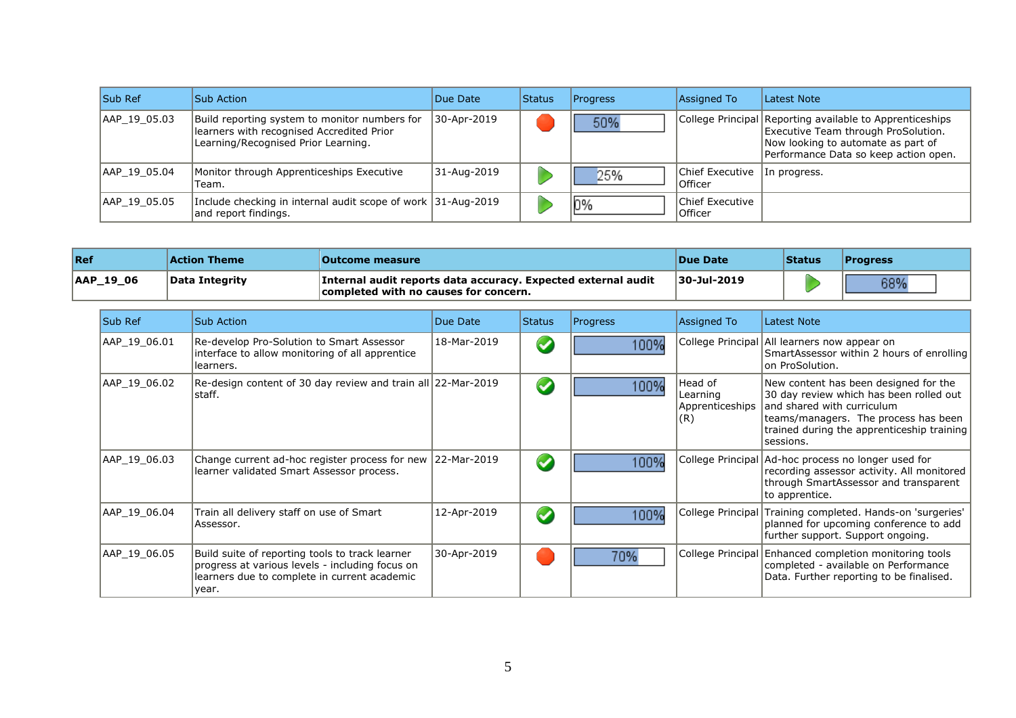| <b>Sub Ref</b> | <b>Sub Action</b>                                                                                                                 | Due Date    | <b>Status</b> | <b>Progress</b> | Assigned To                               | Latest Note                                                                                                                                                                    |
|----------------|-----------------------------------------------------------------------------------------------------------------------------------|-------------|---------------|-----------------|-------------------------------------------|--------------------------------------------------------------------------------------------------------------------------------------------------------------------------------|
| AAP 19 05.03   | Build reporting system to monitor numbers for<br>learners with recognised Accredited Prior<br>Learning/Recognised Prior Learning. | 30-Apr-2019 |               | 50%             |                                           | College Principal Reporting available to Apprenticeships<br>Executive Team through ProSolution.<br>Now looking to automate as part of<br>Performance Data so keep action open. |
| AAP 19 05.04   | Monitor through Apprenticeships Executive<br>Team.                                                                                | 31-Aug-2019 |               | 25%             | Chief Executive   In progress.<br>Officer |                                                                                                                                                                                |
| AAP 19 05.05   | Include checking in internal audit scope of work 31-Aug-2019<br>and report findings.                                              |             |               | 0%              | Chief Executive<br>l Officer              |                                                                                                                                                                                |

| <b>Ref</b> | <b>Action Theme</b>   | <b>Outcome measure</b>                                                                                 | <b>Due Date</b>     | Status | <b>'Progress</b> |
|------------|-----------------------|--------------------------------------------------------------------------------------------------------|---------------------|--------|------------------|
| AAP_19_06  | <b>Data Integrity</b> | Internal audit reports data accuracy. Expected external audit<br>completed with no causes for concern. | $ 30 - Ju  - 2019 $ |        | 200/<br>ד סכ     |

| Sub Ref      | <b>Sub Action</b>                                                                                                                                           | Due Date    | Status               | Progress | <b>Assigned To</b>                             | Latest Note                                                                                                                                                                                                          |
|--------------|-------------------------------------------------------------------------------------------------------------------------------------------------------------|-------------|----------------------|----------|------------------------------------------------|----------------------------------------------------------------------------------------------------------------------------------------------------------------------------------------------------------------------|
| AAP_19_06.01 | Re-develop Pro-Solution to Smart Assessor<br>interface to allow monitoring of all apprentice<br>learners.                                                   | 18-Mar-2019 | $\blacktriangledown$ | 100%     |                                                | College Principal All learners now appear on<br>SmartAssessor within 2 hours of enrolling<br>lon ProSolution.                                                                                                        |
| AAP 19 06.02 | Re-design content of 30 day review and train all 22-Mar-2019<br> staff.                                                                                     |             | $\blacktriangledown$ | 100%     | Head of<br>Learning<br>Apprenticeships<br> (R) | New content has been designed for the<br>30 day review which has been rolled out  <br>and shared with curriculum<br>teams/managers. The process has been<br>trained during the apprenticeship training<br> sessions. |
| AAP 19 06.03 | Change current ad-hoc register process for new 22-Mar-2019<br>learner validated Smart Assessor process.                                                     |             | $\blacktriangledown$ | 100%     |                                                | College Principal Ad-hoc process no longer used for<br>recording assessor activity. All monitored<br>through SmartAssessor and transparent<br>to apprentice.                                                         |
| AAP 19 06.04 | Train all delivery staff on use of Smart<br>Assessor.                                                                                                       | 12-Apr-2019 | $\blacklozenge$      | 100%     |                                                | College Principal Training completed. Hands-on 'surgeries'<br>planned for upcoming conference to add<br>further support. Support ongoing.                                                                            |
| AAP_19_06.05 | Build suite of reporting tools to track learner<br>progress at various levels - including focus on<br>learners due to complete in current academic<br>year. | 30-Apr-2019 |                      | 70%      |                                                | College Principal Enhanced completion monitoring tools<br>completed - available on Performance<br>Data. Further reporting to be finalised.                                                                           |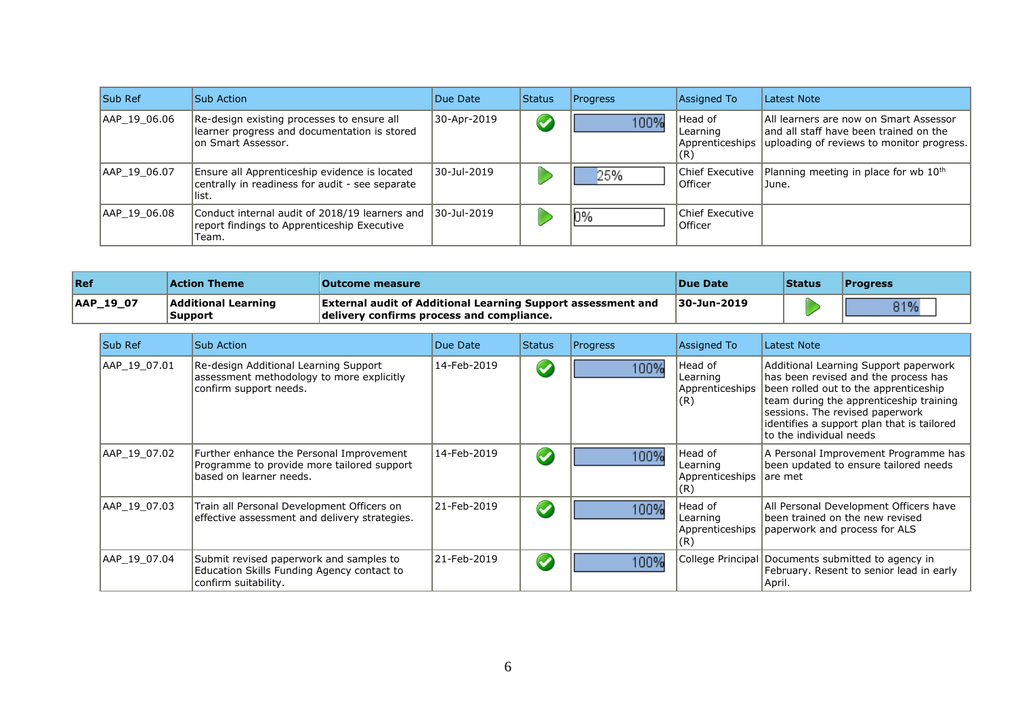| <b>Sub Ref</b> | <b>Sub Action</b>                                                                                                | Due Date    | <b>Status</b>        | <b>Progress</b> | Assigned To                  | Latest Note                                                                                                                                     |
|----------------|------------------------------------------------------------------------------------------------------------------|-------------|----------------------|-----------------|------------------------------|-------------------------------------------------------------------------------------------------------------------------------------------------|
| AAP 19 06.06   | Re-design existing processes to ensure all<br>learner progress and documentation is stored<br>on Smart Assessor. | 30-Apr-2019 | $\blacktriangledown$ | 100%            | lHead of<br>Learning<br> (R) | All learners are now on Smart Assessor<br>land all staff have been trained on the<br>Apprenticeships Juploading of reviews to monitor progress. |
| AAP 19 06.07   | Ensure all Apprenticeship evidence is located<br>centrally in readiness for audit - see separate<br>list.        | 30-Jul-2019 |                      | 25%             | Chief Executive<br>Officer   | Planning meeting in place for wb $10th$<br>June.                                                                                                |
| AAP 19 06.08   | Conduct internal audit of 2018/19 learners and<br>report findings to Apprenticeship Executive<br>Team.           | 30-Jul-2019 |                      | 0%              | Chief Executive<br>Officer   |                                                                                                                                                 |

| Ref       | <b>Action Theme</b>            | <b>Outcome measure</b>                                                                                           | <b>Due Date</b> | Status | <b>Progress</b> |
|-----------|--------------------------------|------------------------------------------------------------------------------------------------------------------|-----------------|--------|-----------------|
| AAP_19_07 | Additional Learning<br>Support | <b>External audit of Additional Learning Support assessment and</b><br>delivery confirms process and compliance. | 30-Jun-2019     |        | 0.401           |

| Sub Ref      | Sub Action                                                                                                        | Due Date    | <b>Status</b>        | Progress | Assigned To                                    | Latest Note                                                                                                                                                                                                                                                                    |
|--------------|-------------------------------------------------------------------------------------------------------------------|-------------|----------------------|----------|------------------------------------------------|--------------------------------------------------------------------------------------------------------------------------------------------------------------------------------------------------------------------------------------------------------------------------------|
| AAP 19 07.01 | Re-design Additional Learning Support<br>assessment methodology to more explicitly<br>confirm support needs.      | 14-Feb-2019 | $\blacktriangledown$ | 100%     | Head of<br>Learning<br>Apprenticeships<br> (R) | Additional Learning Support paperwork<br>has been revised and the process has<br>been rolled out to the apprenticeship<br>team during the apprenticeship training<br>sessions. The revised paperwork<br>identifies a support plan that is tailored<br>lto the individual needs |
| AAP 19 07.02 | Further enhance the Personal Improvement<br>Programme to provide more tailored support<br>based on learner needs. | 14-Feb-2019 | $\blacktriangledown$ | 100%     | Head of<br>Learning<br>Apprenticeships<br>(R)  | A Personal Improvement Programme has<br>been updated to ensure tailored needs<br>lare met                                                                                                                                                                                      |
| AAP 19 07.03 | Train all Personal Development Officers on<br>effective assessment and delivery strategies.                       | 21-Feb-2019 | $\blacktriangledown$ | 100%     | Head of<br>Learning<br>Apprenticeships<br>(R)  | All Personal Development Officers have<br>been trained on the new revised<br>paperwork and process for ALS                                                                                                                                                                     |
| AAP 19 07.04 | Submit revised paperwork and samples to<br>Education Skills Funding Agency contact to<br>confirm suitability.     | 21-Feb-2019 | $\blacktriangledown$ | 100%     |                                                | College Principal Documents submitted to agency in<br>February. Resent to senior lead in early<br> April.                                                                                                                                                                      |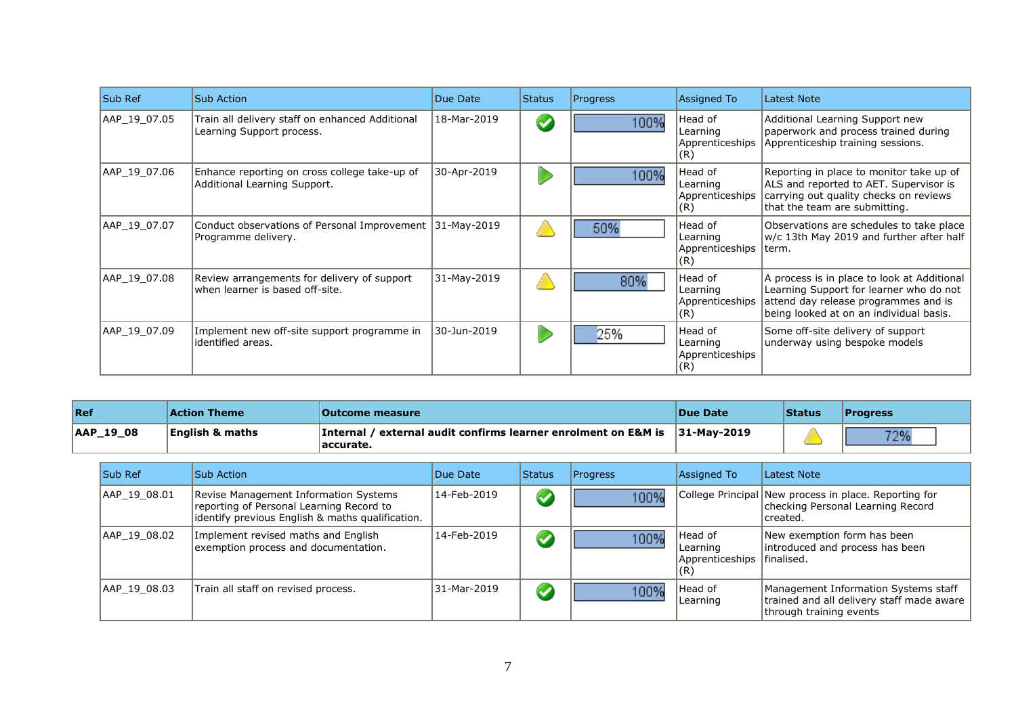| <b>Sub Ref</b> | <b>Sub Action</b>                                                                 | Due Date    | <b>Status</b>        | Progress | <b>Assigned To</b>                            | Latest Note                                                                                                                                                               |
|----------------|-----------------------------------------------------------------------------------|-------------|----------------------|----------|-----------------------------------------------|---------------------------------------------------------------------------------------------------------------------------------------------------------------------------|
| AAP 19 07.05   | Train all delivery staff on enhanced Additional<br>Learning Support process.      | 18-Mar-2019 | $\blacktriangledown$ | 100%     | Head of<br>Learning<br>Apprenticeships<br>(R) | Additional Learning Support new<br>paperwork and process trained during<br>Apprenticeship training sessions.                                                              |
| AAP 19 07.06   | Enhance reporting on cross college take-up of<br>Additional Learning Support.     | 30-Apr-2019 |                      | 100%     | Head of<br>Learning<br>Apprenticeships<br>(R) | Reporting in place to monitor take up of<br>ALS and reported to AET. Supervisor is<br>carrying out quality checks on reviews<br>that the team are submitting.             |
| AAP_19_07.07   | Conduct observations of Personal Improvement   31-May-2019<br>Programme delivery. |             |                      | 50%      | Head of<br>Learning<br>Apprenticeships<br>(R) | Observations are schedules to take place<br>w/c 13th May 2019 and further after half<br>Iterm.                                                                            |
| AAP 19 07.08   | Review arrangements for delivery of support<br>when learner is based off-site.    | 31-May-2019 |                      | 80%      | Head of<br>Learning<br>Apprenticeships<br>(R) | A process is in place to look at Additional<br>Learning Support for learner who do not<br>attend day release programmes and is<br>being looked at on an individual basis. |
| AAP 19 07.09   | Implement new off-site support programme in<br>identified areas.                  | 30-Jun-2019 |                      | 25%      | Head of<br>Learning<br>Apprenticeships<br>(R) | Some off-site delivery of support<br>underway using bespoke models                                                                                                        |

| Ref       | <b>Action Theme</b>        | Outcome measure_                                                                                                      | <b>Due Date</b> | <b>Status</b> | <b>IProgress</b> |
|-----------|----------------------------|-----------------------------------------------------------------------------------------------------------------------|-----------------|---------------|------------------|
| AAP_19_08 | <b>English &amp; maths</b> | <b>Internal / external audit confirms learner enrolment on E&amp;M is <math>\vert</math>31-Mav-2019</b><br> accurate. |                 |               | フロロ              |

| <b>Sub Ref</b> | <b>Sub Action</b>                                                                                                                     | Due Date    | <b>Status</b>        | <b>Progress</b> | Assigned To                                             | Latest Note                                                                                                  |
|----------------|---------------------------------------------------------------------------------------------------------------------------------------|-------------|----------------------|-----------------|---------------------------------------------------------|--------------------------------------------------------------------------------------------------------------|
| AAP 19 08.01   | Revise Management Information Systems<br>reporting of Personal Learning Record to<br>identify previous English & maths qualification. | 14-Feb-2019 | $\blacktriangledown$ | 100%            |                                                         | College Principal New process in place. Reporting for<br>checking Personal Learning Record<br>Icreated.      |
| AAP 19 08.02   | Implement revised maths and English<br>exemption process and documentation.                                                           | 14-Feb-2019 | $\blacktriangledown$ | 100%            | Head of<br>Learning<br>Apprenticeships<br>$\sqrt[R]{ }$ | New exemption form has been<br>introduced and process has been<br>lfinalised.                                |
| AAP 19 08.03   | Train all staff on revised process.                                                                                                   | 31-Mar-2019 | $\blacktriangledown$ | 100%            | Head of<br>Learning                                     | Management Information Systems staff<br>trained and all delivery staff made aware<br>through training events |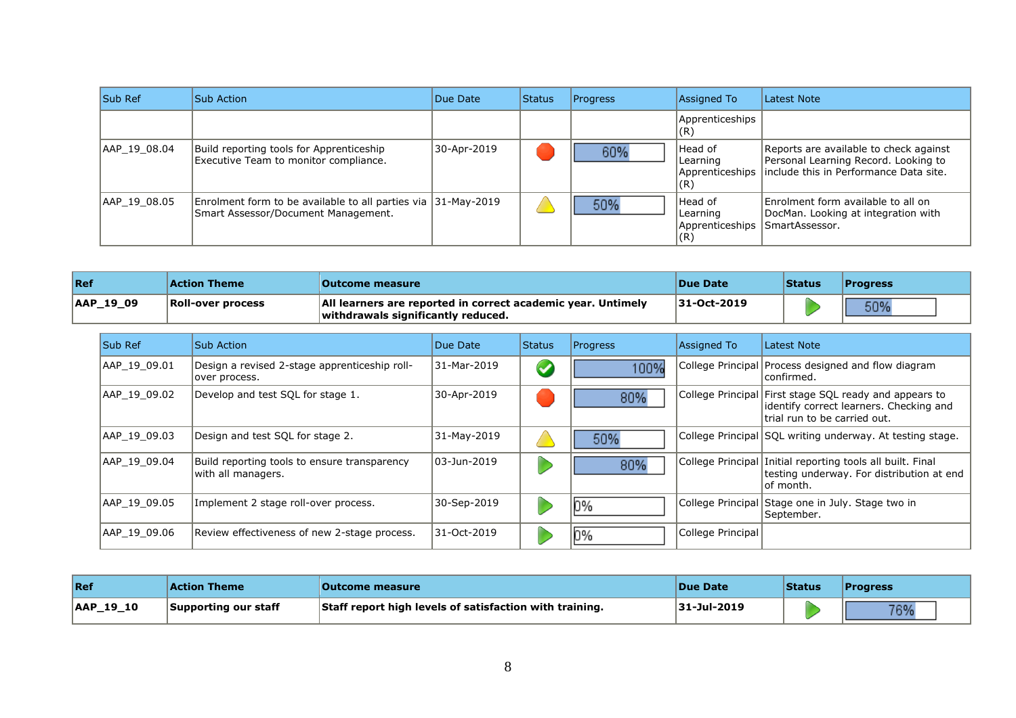| <b>Sub Ref</b> | Sub Action                                                                                           | Due Date    | <b>Status</b> | Progress | Assigned To                                   | Latest Note                                                                                                                                |
|----------------|------------------------------------------------------------------------------------------------------|-------------|---------------|----------|-----------------------------------------------|--------------------------------------------------------------------------------------------------------------------------------------------|
|                |                                                                                                      |             |               |          | Apprenticeships<br>(R)                        |                                                                                                                                            |
| AAP 19 08.04   | Build reporting tools for Apprenticeship<br>Executive Team to monitor compliance.                    | 30-Apr-2019 |               | 60%      | Head of<br>Learning<br>(R)                    | Reports are available to check against<br>Personal Learning Record. Looking to<br>Apprenticeships   include this in Performance Data site. |
| AAP 19 08.05   | Enrolment form to be available to all parties via 31-May-2019<br>Smart Assessor/Document Management. |             |               | 50%      | Head of<br>Learning<br>Apprenticeships<br>(R) | Enrolment form available to all on<br>DocMan. Looking at integration with<br>SmartAssessor.                                                |

| <b>Ref</b>    | <b>Action Theme</b>      | <b>Outcome measure</b>                                                                             | <b>Due Date</b>    | <b>Status</b> | <b>Progress</b> |
|---------------|--------------------------|----------------------------------------------------------------------------------------------------|--------------------|---------------|-----------------|
| $ AAP_19_09 $ | <b>Roll-over process</b> | All learners are reported in correct academic year. Untimely<br>withdrawals significantly reduced. | <b>31-Oct-2019</b> |               | 50%             |

| <b>Sub Ref</b> | Sub Action                                                         | Due Date    | <b>Status</b>        | <b>Progress</b> | Assigned To       | Latest Note                                                                                                                        |
|----------------|--------------------------------------------------------------------|-------------|----------------------|-----------------|-------------------|------------------------------------------------------------------------------------------------------------------------------------|
| AAP 19 09.01   | Design a revised 2-stage apprenticeship roll-<br>over process.     | 31-Mar-2019 | $\blacktriangledown$ | 100%            |                   | College Principal   Process designed and flow diagram<br> confirmed.                                                               |
| AAP 19 09.02   | Develop and test SQL for stage 1.                                  | 30-Apr-2019 |                      | 80%             |                   | College Principal First stage SQL ready and appears to<br>lidentify correct learners. Checking and<br>trial run to be carried out. |
| AAP 19 09.03   | Design and test SQL for stage 2.                                   | 31-May-2019 |                      | 50%             |                   | College Principal SQL writing underway. At testing stage.                                                                          |
| AAP 19 09.04   | Build reporting tools to ensure transparency<br>with all managers. | 03-Jun-2019 |                      | 80%             |                   | College Principal Initial reporting tools all built. Final<br>testing underway. For distribution at end<br>lof month.              |
| AAP 19 09.05   | Implement 2 stage roll-over process.                               | 30-Sep-2019 |                      | l 0%            |                   | College Principal Stage one in July. Stage two in<br>September.                                                                    |
| AAP 19 09.06   | Review effectiveness of new 2-stage process.                       | 31-Oct-2019 |                      | D%              | College Principal |                                                                                                                                    |

| Ref       | Action Theme         | <b>Outcome measure</b>                                  | <b>Due Date</b> | <b>Status</b> | <b>IProgress</b> |
|-----------|----------------------|---------------------------------------------------------|-----------------|---------------|------------------|
| AAP_19_10 | Supporting our staff | Staff report high levels of satisfaction with training. | 31-Jul-2019     |               | 7604             |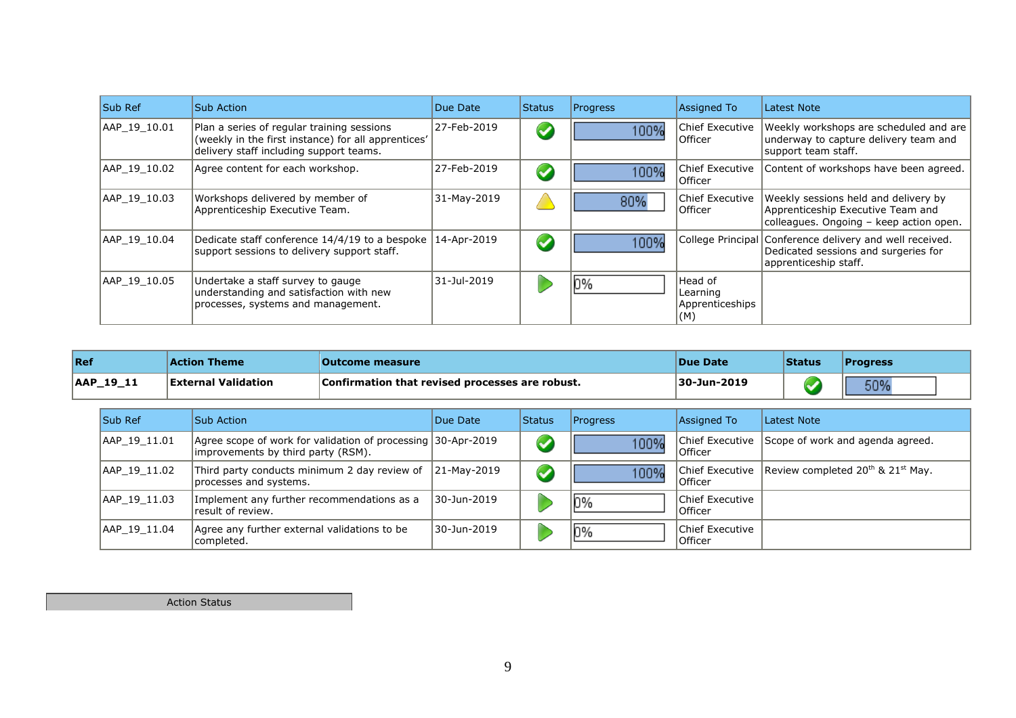| Sub Ref      | Sub Action                                                                                                                                   | Due Date    | <b>Status</b>        | <b>Progress</b> | <b>Assigned To</b>                             | Latest Note                                                                                                               |
|--------------|----------------------------------------------------------------------------------------------------------------------------------------------|-------------|----------------------|-----------------|------------------------------------------------|---------------------------------------------------------------------------------------------------------------------------|
| AAP 19 10.01 | Plan a series of regular training sessions<br>(weekly in the first instance) for all apprentices'<br>delivery staff including support teams. | 27-Feb-2019 | $\blacktriangledown$ | 100%            | Chief Executive<br>Officer                     | Weekly workshops are scheduled and are<br>underway to capture delivery team and<br>support team staff.                    |
| AAP 19 10.02 | Agree content for each workshop.                                                                                                             | 27-Feb-2019 | $\blacktriangledown$ | 100%            | Chief Executive<br>Officer                     | Content of workshops have been agreed.                                                                                    |
| AAP 19 10.03 | Workshops delivered by member of<br>Apprenticeship Executive Team.                                                                           | 31-May-2019 |                      | 80%             | Chief Executive<br>Officer                     | Weekly sessions held and delivery by<br>Apprenticeship Executive Team and<br>colleagues. Ongoing - keep action open.      |
| AAP 19 10.04 | Dedicate staff conference 14/4/19 to a bespoke<br>support sessions to delivery support staff.                                                | 14-Apr-2019 | $\blacktriangledown$ | 100%            |                                                | College Principal Conference delivery and well received.<br>Dedicated sessions and surgeries for<br>apprenticeship staff. |
| AAP 19 10.05 | Undertake a staff survey to gauge<br>understanding and satisfaction with new<br>processes, systems and management.                           | 31-Jul-2019 |                      | 0%              | Head of<br>Learning<br>Apprenticeships<br> (M) |                                                                                                                           |

| Ref       | <b>Action Theme</b>        | <b>Outcome measure</b>                          | <b>Due Date</b> | <i><b>Status</b></i> | <b>Progress</b> |
|-----------|----------------------------|-------------------------------------------------|-----------------|----------------------|-----------------|
| AAP 19 11 | <b>External Validation</b> | Confirmation that revised processes are robust. | 30-Jun-2019     |                      | 50%             |

| <b>Sub Ref</b> | Sub Action                                                                                         | Due Date        | <b>Status</b>        | <b>Progress</b> | Assigned To                 | Latest Note                                                 |
|----------------|----------------------------------------------------------------------------------------------------|-----------------|----------------------|-----------------|-----------------------------|-------------------------------------------------------------|
| AAP 19 11.01   | Agree scope of work for validation of processing 30-Apr-2019<br>improvements by third party (RSM). |                 | $\blacktriangledown$ | 100%            | Officer                     | Chief Executive Scope of work and agenda agreed.            |
| AAP 19 11.02   | Third party conducts minimum 2 day review of<br>processes and systems.                             | $ 21-May-2019 $ | $\blacktriangledown$ | 100%            | Officer                     | Chief Executive Review completed $20^{th}$ & $21^{st}$ May. |
| AAP 19 11.03   | Implement any further recommendations as a<br>result of review.                                    | 30-Jun-2019     |                      | 0%              | Chief Executive<br>10fficer |                                                             |
| AAP 19 11.04   | Agree any further external validations to be<br>completed.                                         | 30-Jun-2019     |                      | 0%              | Chief Executive<br>Officer  |                                                             |

Action Status